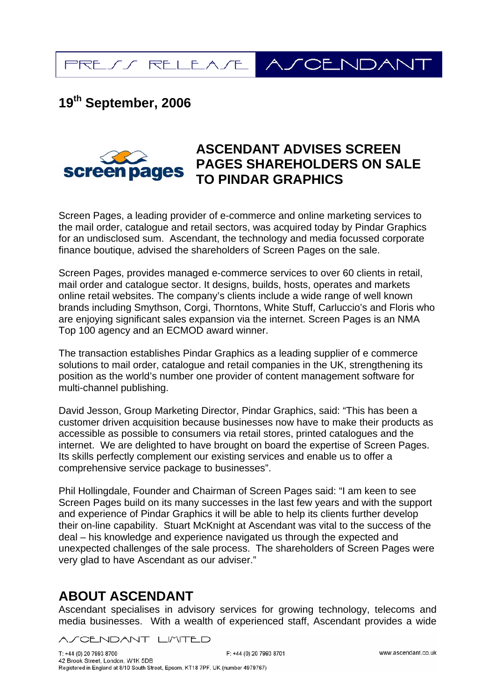**SCENDAN** PRESS RELEASE

## **19th September, 2006**



## **ASCENDANT ADVISES SCREEN PAGES SHAREHOLDERS ON SALE TO PINDAR GRAPHICS**

Screen Pages, a leading provider of e-commerce and online marketing services to the mail order, catalogue and retail sectors, was acquired today by Pindar Graphics for an undisclosed sum. Ascendant, the technology and media focussed corporate finance boutique, advised the shareholders of Screen Pages on the sale.

Screen Pages, provides managed e-commerce services to over 60 clients in retail, mail order and catalogue sector. It designs, builds, hosts, operates and markets online retail websites. The company's clients include a wide range of well known brands including Smythson, Corgi, Thorntons, White Stuff, Carluccio's and Floris who are enjoying significant sales expansion via the internet. Screen Pages is an NMA Top 100 agency and an ECMOD award winner.

The transaction establishes Pindar Graphics as a leading supplier of e commerce solutions to mail order, catalogue and retail companies in the UK, strengthening its position as the world's number one provider of content management software for multi-channel publishing.

David Jesson, Group Marketing Director, Pindar Graphics, said: "This has been a customer driven acquisition because businesses now have to make their products as accessible as possible to consumers via retail stores, printed catalogues and the internet. We are delighted to have brought on board the expertise of Screen Pages. Its skills perfectly complement our existing services and enable us to offer a comprehensive service package to businesses".

Phil Hollingdale, Founder and Chairman of Screen Pages said: "I am keen to see Screen Pages build on its many successes in the last few years and with the support and experience of Pindar Graphics it will be able to help its clients further develop their on-line capability. Stuart McKnight at Ascendant was vital to the success of the deal – his knowledge and experience navigated us through the expected and unexpected challenges of the sale process. The shareholders of Screen Pages were very glad to have Ascendant as our adviser."

## **ABOUT ASCENDANT**

Ascendant specialises in advisory services for growing technology, telecoms and media businesses. With a wealth of experienced staff, Ascendant provides a wide

CENDANT LIMITED